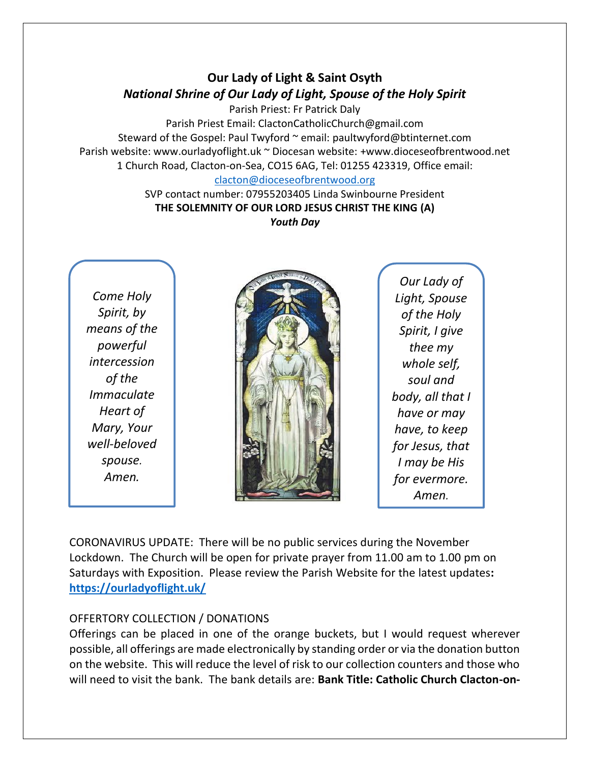# **Our Lady of Light & Saint Osyth** *National Shrine of Our Lady of Light, Spouse of the Holy Spirit*

Parish Priest: Fr Patrick Daly Parish Priest Email: ClactonCatholicChurch@gmail.com Steward of the Gospel: Paul Twyford ~ email: paultwyford@btinternet.com Parish website: www.ourladyoflight.uk ~ Diocesan website: +www.dioceseofbrentwood.net 1 Church Road, Clacton-on-Sea, CO15 6AG, Tel: 01255 423319, Office email: [clacton@dioceseofbrentwood.org](mailto:clacton@dioceseofbrentwood.org)

> SVP contact number: 07955203405 Linda Swinbourne President **THE SOLEMNITY OF OUR LORD JESUS CHRIST THE KING (A)** *Youth Day*

*Come Holy Spirit, by means of the powerful intercession of the Immaculate Heart of Mary, Your well-beloved spouse. Amen.*



*Our Lady of Light, Spouse of the Holy Spirit, I give thee my whole self, soul and body, all that I have or may have, to keep for Jesus, that I may be His for evermore. Amen.*

CORONAVIRUS UPDATE: There will be no public services during the November Lockdown. The Church will be open for private prayer from 11.00 am to 1.00 pm on Saturdays with Exposition. Please review the Parish Website for the latest updates**: <https://ourladyoflight.uk/>**

## OFFERTORY COLLECTION / DONATIONS

Offerings can be placed in one of the orange buckets, but I would request wherever possible, all offerings are made electronically by standing order or via the donation button on the website. This will reduce the level of risk to our collection counters and those who will need to visit the bank. The bank details are: **Bank Title: Catholic Church Clacton-on-**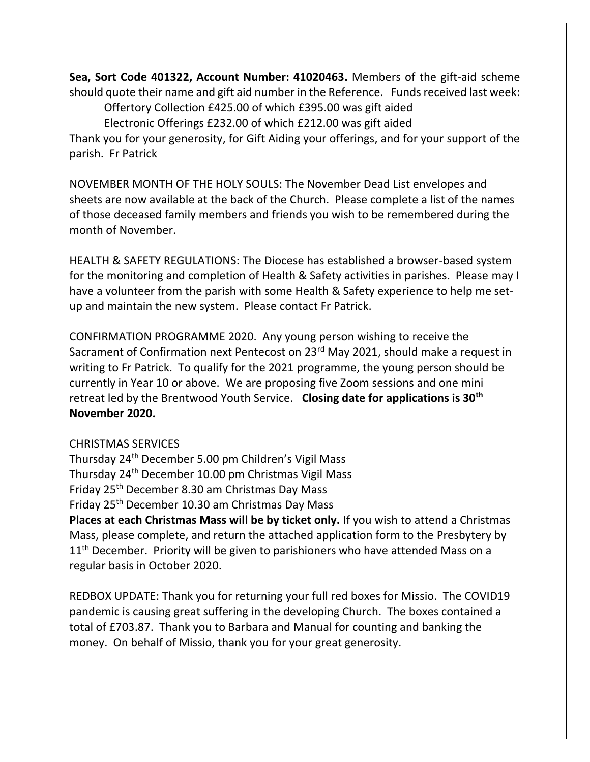**Sea, Sort Code 401322, Account Number: 41020463.** Members of the gift-aid scheme should quote their name and gift aid number in the Reference. Funds received last week: Offertory Collection £425.00 of which £395.00 was gift aided

Electronic Offerings £232.00 of which £212.00 was gift aided

Thank you for your generosity, for Gift Aiding your offerings, and for your support of the parish. Fr Patrick

NOVEMBER MONTH OF THE HOLY SOULS: The November Dead List envelopes and sheets are now available at the back of the Church. Please complete a list of the names of those deceased family members and friends you wish to be remembered during the month of November.

HEALTH & SAFETY REGULATIONS: The Diocese has established a browser-based system for the monitoring and completion of Health & Safety activities in parishes. Please may I have a volunteer from the parish with some Health & Safety experience to help me setup and maintain the new system. Please contact Fr Patrick.

CONFIRMATION PROGRAMME 2020. Any young person wishing to receive the Sacrament of Confirmation next Pentecost on 23<sup>rd</sup> May 2021, should make a request in writing to Fr Patrick. To qualify for the 2021 programme, the young person should be currently in Year 10 or above. We are proposing five Zoom sessions and one mini retreat led by the Brentwood Youth Service. **Closing date for applications is 30th November 2020.**

## CHRISTMAS SERVICES

Thursday 24th December 5.00 pm Children's Vigil Mass Thursday 24th December 10.00 pm Christmas Vigil Mass Friday 25th December 8.30 am Christmas Day Mass Friday 25th December 10.30 am Christmas Day Mass

**Places at each Christmas Mass will be by ticket only.** If you wish to attend a Christmas Mass, please complete, and return the attached application form to the Presbytery by  $11<sup>th</sup>$  December. Priority will be given to parishioners who have attended Mass on a regular basis in October 2020.

REDBOX UPDATE: Thank you for returning your full red boxes for Missio. The COVID19 pandemic is causing great suffering in the developing Church. The boxes contained a total of £703.87. Thank you to Barbara and Manual for counting and banking the money. On behalf of Missio, thank you for your great generosity.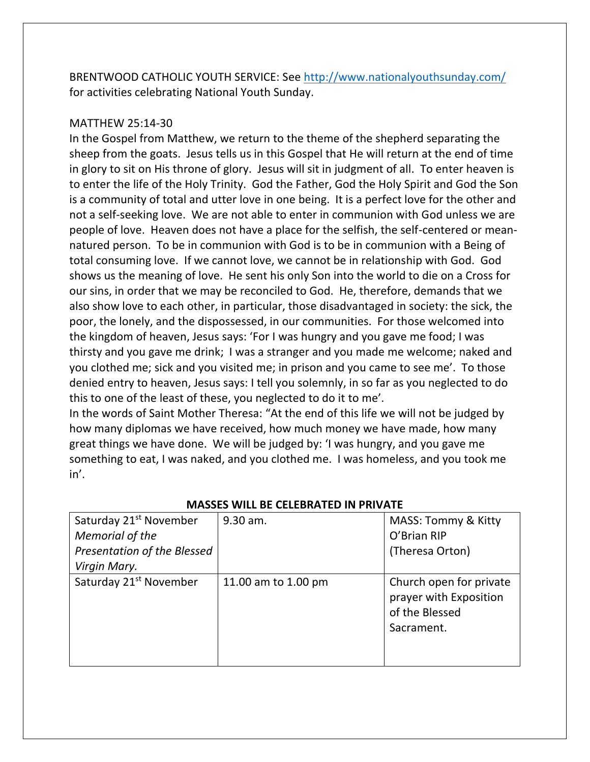BRENTWOOD CATHOLIC YOUTH SERVICE: See<http://www.nationalyouthsunday.com/> for activities celebrating National Youth Sunday.

### MATTHEW 25:14-30

In the Gospel from Matthew, we return to the theme of the shepherd separating the sheep from the goats. Jesus tells us in this Gospel that He will return at the end of time in glory to sit on His throne of glory. Jesus will sit in judgment of all. To enter heaven is to enter the life of the Holy Trinity. God the Father, God the Holy Spirit and God the Son is a community of total and utter love in one being. It is a perfect love for the other and not a self-seeking love. We are not able to enter in communion with God unless we are people of love. Heaven does not have a place for the selfish, the self-centered or meannatured person. To be in communion with God is to be in communion with a Being of total consuming love. If we cannot love, we cannot be in relationship with God. God shows us the meaning of love. He sent his only Son into the world to die on a Cross for our sins, in order that we may be reconciled to God. He, therefore, demands that we also show love to each other, in particular, those disadvantaged in society: the sick, the poor, the lonely, and the dispossessed, in our communities. For those welcomed into the kingdom of heaven, Jesus says: 'For I was hungry and you gave me food; I was thirsty and you gave me drink; I was a stranger and you made me welcome; naked and you clothed me; sick and you visited me; in prison and you came to see me'. To those denied entry to heaven, Jesus says: I tell you solemnly, in so far as you neglected to do this to one of the least of these, you neglected to do it to me'.

In the words of Saint Mother Theresa: "At the end of this life we will not be judged by how many diplomas we have received, how much money we have made, how many great things we have done. We will be judged by: 'I was hungry, and you gave me something to eat, I was naked, and you clothed me. I was homeless, and you took me in'.

| Saturday 21 <sup>st</sup> November<br>Memorial of the | 9.30 am.            | MASS: Tommy & Kitty<br>O'Brian RIP                                                |
|-------------------------------------------------------|---------------------|-----------------------------------------------------------------------------------|
| Presentation of the Blessed<br>Virgin Mary.           |                     | (Theresa Orton)                                                                   |
| Saturday 21 <sup>st</sup> November                    | 11.00 am to 1.00 pm | Church open for private<br>prayer with Exposition<br>of the Blessed<br>Sacrament. |

#### **MASSES WILL BE CELEBRATED IN PRIVATE**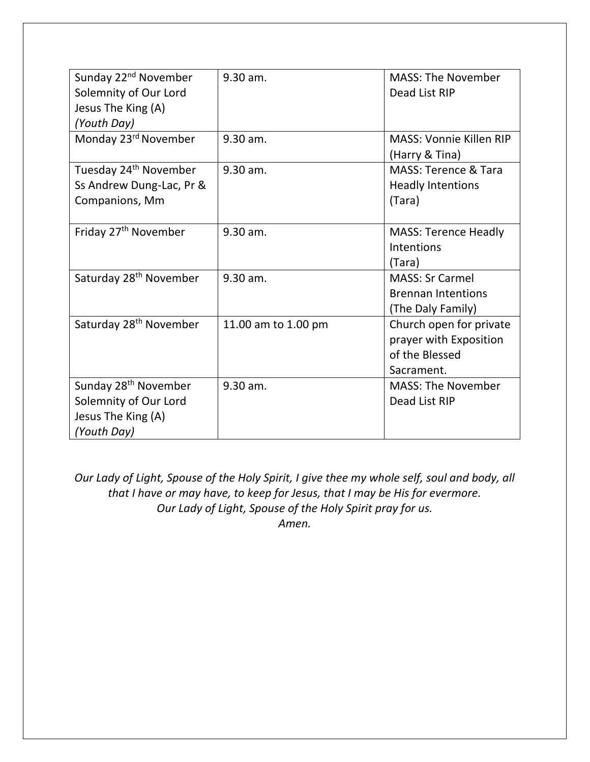| Sunday 22 <sup>nd</sup> November   | 9.30 am.            | <b>MASS: The November</b>       |
|------------------------------------|---------------------|---------------------------------|
| Solemnity of Our Lord              |                     | Dead List RIP                   |
| Jesus The King (A)                 |                     |                                 |
| (Youth Day)                        |                     |                                 |
| Monday 23rd November               | 9.30 am.            | <b>MASS: Vonnie Killen RIP</b>  |
|                                    |                     | (Harry & Tina)                  |
| Tuesday 24 <sup>th</sup> November  | 9.30 am.            | <b>MASS: Terence &amp; Tara</b> |
| Ss Andrew Dung-Lac, Pr &           |                     | <b>Headly Intentions</b>        |
| Companions, Mm                     |                     | (Tara)                          |
|                                    |                     |                                 |
| Friday 27 <sup>th</sup> November   | 9.30 am.            | <b>MASS: Terence Headly</b>     |
|                                    |                     | <b>Intentions</b>               |
|                                    |                     | (Tara)                          |
| Saturday 28 <sup>th</sup> November | 9.30 am.            | <b>MASS: Sr Carmel</b>          |
|                                    |                     | <b>Brennan Intentions</b>       |
|                                    |                     | (The Daly Family)               |
| Saturday 28 <sup>th</sup> November | 11.00 am to 1.00 pm | Church open for private         |
|                                    |                     | prayer with Exposition          |
|                                    |                     | of the Blessed                  |
|                                    |                     | Sacrament.                      |
| Sunday 28 <sup>th</sup> November   | 9.30 am.            | <b>MASS: The November</b>       |
| Solemnity of Our Lord              |                     | Dead List RIP                   |
| Jesus The King (A)                 |                     |                                 |
| (Youth Day)                        |                     |                                 |

*Our Lady of Light, Spouse of the Holy Spirit, I give thee my whole self, soul and body, all that I have or may have, to keep for Jesus, that I may be His for evermore. Our Lady of Light, Spouse of the Holy Spirit pray for us. Amen.*